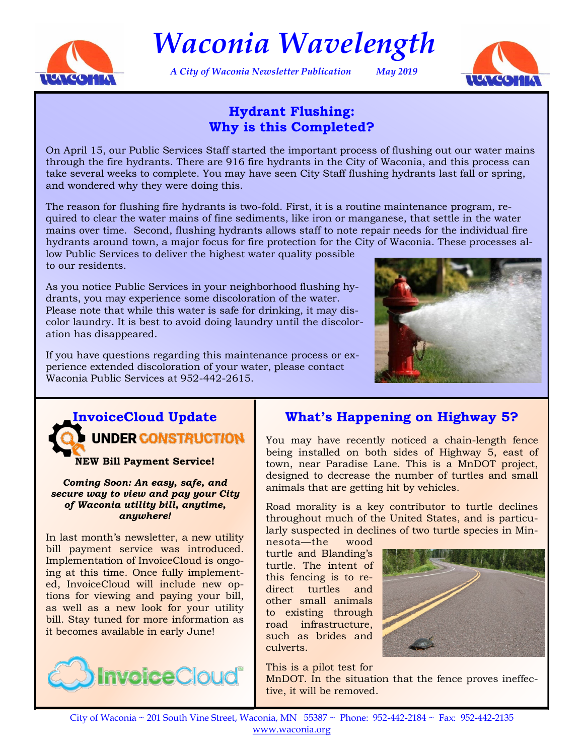

*Waconia Wavelength*

*A City of Waconia Newsletter Publication May 2019*



# **Hydrant Flushing: Why is this Completed?**

On April 15, our Public Services Staff started the important process of flushing out our water mains through the fire hydrants. There are 916 fire hydrants in the City of Waconia, and this process can take several weeks to complete. You may have seen City Staff flushing hydrants last fall or spring, and wondered why they were doing this.

The reason for flushing fire hydrants is two-fold. First, it is a routine maintenance program, required to clear the water mains of fine sediments, like iron or manganese, that settle in the water mains over time. Second, flushing hydrants allows staff to note repair needs for the individual fire hydrants around town, a major focus for fire protection for the City of Waconia. These processes al-

low Public Services to deliver the highest water quality possible to our residents.

As you notice Public Services in your neighborhood flushing hydrants, you may experience some discoloration of the water. Please note that while this water is safe for drinking, it may discolor laundry. It is best to avoid doing laundry until the discoloration has disappeared.

If you have questions regarding this maintenance process or experience extended discoloration of your water, please contact Waconia Public Services at 952-442-2615.





**NEW Bill Payment Service!**

*Coming Soon: An easy, safe, and secure way to view and pay your City of Waconia utility bill, anytime, anywhere!*

In last month's newsletter, a new utility bill payment service was introduced. Implementation of InvoiceCloud is ongoing at this time. Once fully implemented, InvoiceCloud will include new options for viewing and paying your bill, as well as a new look for your utility bill. Stay tuned for more information as it becomes available in early June!



# **What's Happening on Highway 5?**

You may have recently noticed a chain-length fence being installed on both sides of Highway 5, east of town, near Paradise Lane. This is a MnDOT project, designed to decrease the number of turtles and small animals that are getting hit by vehicles.

Road morality is a key contributor to turtle declines throughout much of the United States, and is particularly suspected in declines of two turtle species in Min-

nesota—the wood turtle and Blanding's turtle. The intent of this fencing is to redirect turtles and other small animals to existing through road infrastructure, such as brides and culverts.



This is a pilot test for MnDOT. In the situation that the fence proves ineffective, it will be removed.